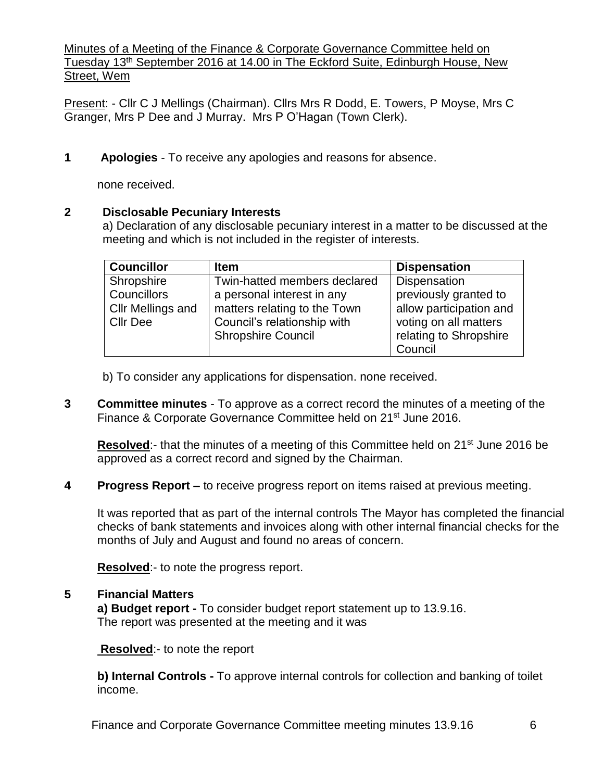Minutes of a Meeting of the Finance & Corporate Governance Committee held on Tuesday 13<sup>th</sup> September 2016 at 14.00 in The Eckford Suite, Edinburgh House, New Street, Wem

Present: - Cllr C J Mellings (Chairman). Cllrs Mrs R Dodd, E. Towers, P Moyse, Mrs C Granger, Mrs P Dee and J Murray. Mrs P O'Hagan (Town Clerk).

**1 Apologies** - To receive any apologies and reasons for absence.

none received.

#### **2 Disclosable Pecuniary Interests**

a) Declaration of any disclosable pecuniary interest in a matter to be discussed at the meeting and which is not included in the register of interests.

| <b>Councillor</b> | <b>Item</b>                  | <b>Dispensation</b>     |
|-------------------|------------------------------|-------------------------|
| Shropshire        | Twin-hatted members declared | Dispensation            |
| Councillors       | a personal interest in any   | previously granted to   |
| Cllr Mellings and | matters relating to the Town | allow participation and |
| <b>Cllr Dee</b>   | Council's relationship with  | voting on all matters   |
|                   | <b>Shropshire Council</b>    | relating to Shropshire  |
|                   |                              | Council                 |

- b) To consider any applications for dispensation. none received.
- **3 Committee minutes** To approve as a correct record the minutes of a meeting of the Finance & Corporate Governance Committee held on 21<sup>st</sup> June 2016.

Resolved:- that the minutes of a meeting of this Committee held on 21<sup>st</sup> June 2016 be approved as a correct record and signed by the Chairman.

**4 Progress Report –** to receive progress report on items raised at previous meeting.

It was reported that as part of the internal controls The Mayor has completed the financial checks of bank statements and invoices along with other internal financial checks for the months of July and August and found no areas of concern.

**Resolved**:- to note the progress report.

## **5 Financial Matters**

**a) Budget report -** To consider budget report statement up to 13.9.16. The report was presented at the meeting and it was

**Resolved:**- to note the report

**b) Internal Controls -** To approve internal controls for collection and banking of toilet income.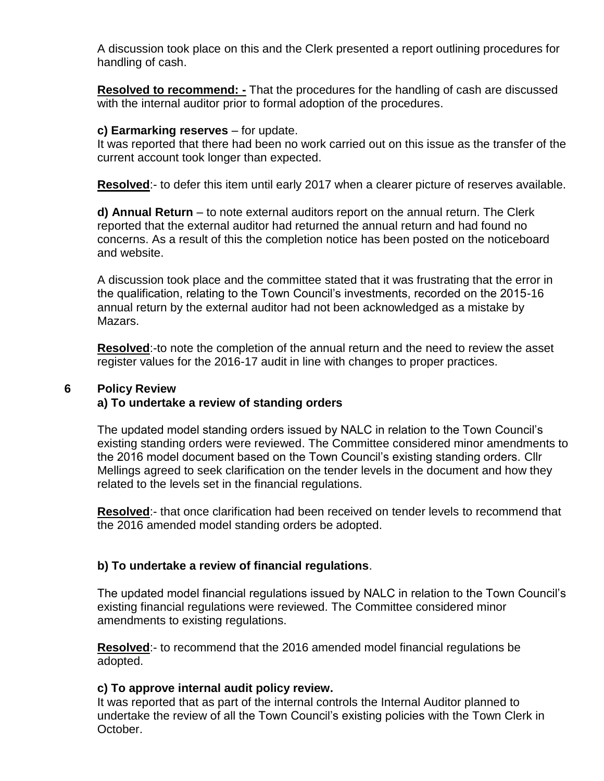A discussion took place on this and the Clerk presented a report outlining procedures for handling of cash.

**Resolved to recommend: -** That the procedures for the handling of cash are discussed with the internal auditor prior to formal adoption of the procedures.

### **c) Earmarking reserves** – for update.

It was reported that there had been no work carried out on this issue as the transfer of the current account took longer than expected.

**Resolved**:- to defer this item until early 2017 when a clearer picture of reserves available.

**d) Annual Return** – to note external auditors report on the annual return. The Clerk reported that the external auditor had returned the annual return and had found no concerns. As a result of this the completion notice has been posted on the noticeboard and website.

A discussion took place and the committee stated that it was frustrating that the error in the qualification, relating to the Town Council's investments, recorded on the 2015-16 annual return by the external auditor had not been acknowledged as a mistake by Mazars.

**Resolved**:-to note the completion of the annual return and the need to review the asset register values for the 2016-17 audit in line with changes to proper practices.

# **6 Policy Review a) To undertake a review of standing orders**

The updated model standing orders issued by NALC in relation to the Town Council's existing standing orders were reviewed. The Committee considered minor amendments to the 2016 model document based on the Town Council's existing standing orders. Cllr Mellings agreed to seek clarification on the tender levels in the document and how they related to the levels set in the financial regulations.

**Resolved**:- that once clarification had been received on tender levels to recommend that the 2016 amended model standing orders be adopted.

# **b) To undertake a review of financial regulations**.

The updated model financial regulations issued by NALC in relation to the Town Council's existing financial regulations were reviewed. The Committee considered minor amendments to existing regulations.

**Resolved**:- to recommend that the 2016 amended model financial regulations be adopted.

## **c) To approve internal audit policy review.**

It was reported that as part of the internal controls the Internal Auditor planned to undertake the review of all the Town Council's existing policies with the Town Clerk in October.